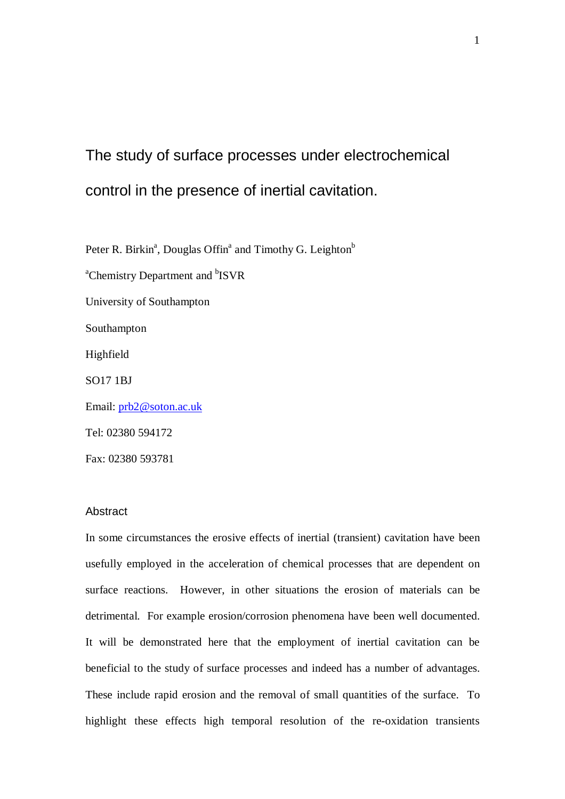# The study of surface processes under electrochemical control in the presence of inertial cavitation.

Peter R. Birkin<sup>a</sup>, Douglas Offin<sup>a</sup> and Timothy G. Leighton<sup>b</sup> <sup>a</sup>Chemistry Department and <sup>b</sup>ISVR University of Southampton Southampton Highfield SO17 1BJ Email: prb2@soton.ac.uk Tel: 02380 594172 Fax: 02380 593781

#### **Abstract**

In some circumstances the erosive effects of inertial (transient) cavitation have been usefully employed in the acceleration of chemical processes that are dependent on surface reactions. However, in other situations the erosion of materials can be detrimental. For example erosion/corrosion phenomena have been well documented. It will be demonstrated here that the employment of inertial cavitation can be beneficial to the study of surface processes and indeed has a number of advantages. These include rapid erosion and the removal of small quantities of the surface. To highlight these effects high temporal resolution of the re-oxidation transients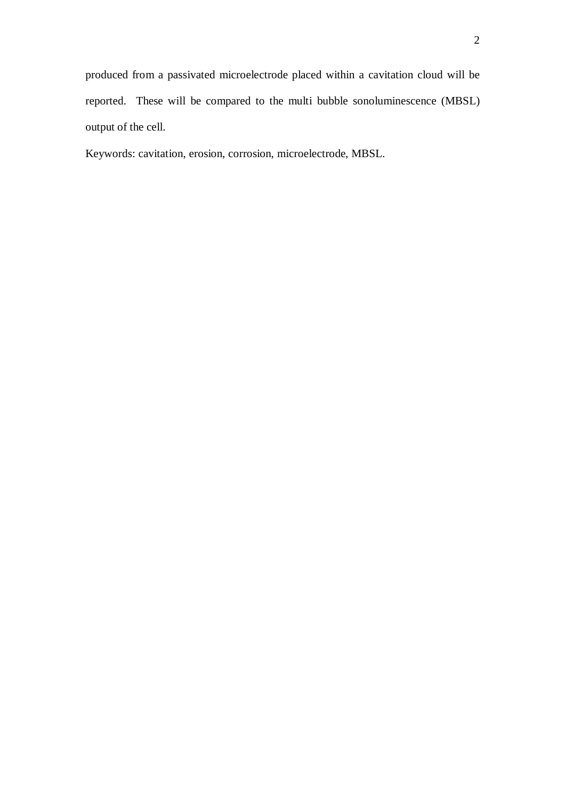produced from a passivated microelectrode placed within a cavitation cloud will be reported. These will be compared to the multi bubble sonoluminescence (MBSL) output of the cell.

Keywords: cavitation, erosion, corrosion, microelectrode, MBSL.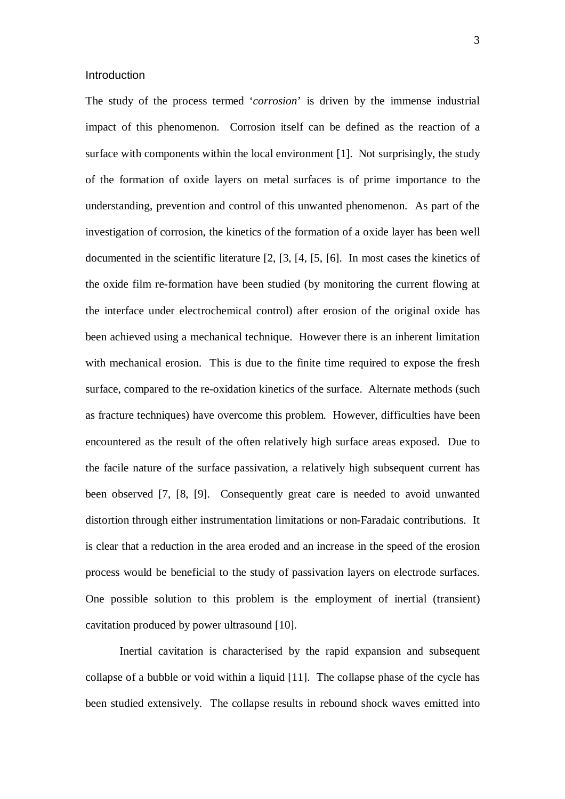#### **Introduction**

The study of the process termed '*corrosion*' is driven by the immense industrial impact of this phenomenon. Corrosion itself can be defined as the reaction of a surface with components within the local environment [1]. Not surprisingly, the study of the formation of oxide layers on metal surfaces is of prime importance to the understanding, prevention and control of this unwanted phenomenon. As part of the investigation of corrosion, the kinetics of the formation of a oxide layer has been well documented in the scientific literature [2, [3, [4, [5, [6]. In most cases the kinetics of the oxide film re-formation have been studied (by monitoring the current flowing at the interface under electrochemical control) after erosion of the original oxide has been achieved using a mechanical technique. However there is an inherent limitation with mechanical erosion. This is due to the finite time required to expose the fresh surface, compared to the re-oxidation kinetics of the surface. Alternate methods (such as fracture techniques) have overcome this problem. However, difficulties have been encountered as the result of the often relatively high surface areas exposed. Due to the facile nature of the surface passivation, a relatively high subsequent current has been observed [7, [8, [9]. Consequently great care is needed to avoid unwanted distortion through either instrumentation limitations or non-Faradaic contributions. It is clear that a reduction in the area eroded and an increase in the speed of the erosion process would be beneficial to the study of passivation layers on electrode surfaces. One possible solution to this problem is the employment of inertial (transient) cavitation produced by power ultrasound [10].

Inertial cavitation is characterised by the rapid expansion and subsequent collapse of a bubble or void within a liquid [11]. The collapse phase of the cycle has been studied extensively. The collapse results in rebound shock waves emitted into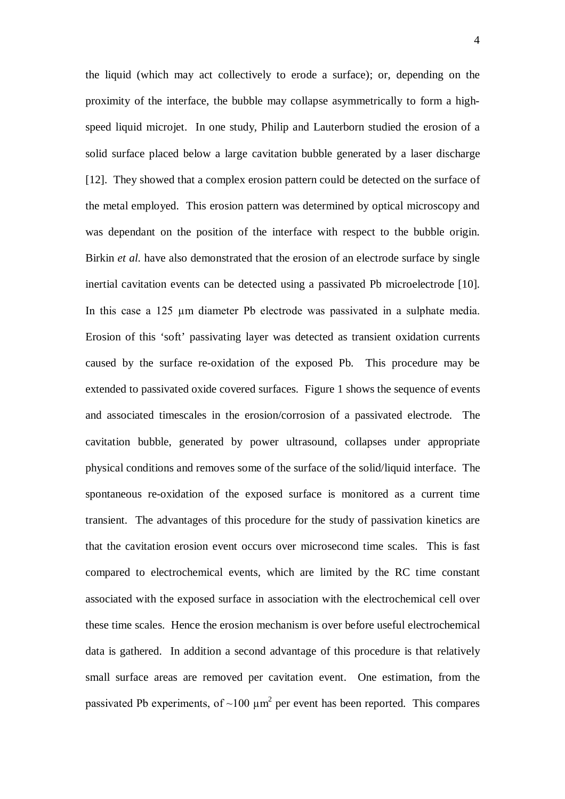the liquid (which may act collectively to erode a surface); or, depending on the proximity of the interface, the bubble may collapse asymmetrically to form a highspeed liquid microjet. In one study, Philip and Lauterborn studied the erosion of a solid surface placed below a large cavitation bubble generated by a laser discharge [12]. They showed that a complex erosion pattern could be detected on the surface of the metal employed. This erosion pattern was determined by optical microscopy and was dependant on the position of the interface with respect to the bubble origin. Birkin *et al.* have also demonstrated that the erosion of an electrode surface by single inertial cavitation events can be detected using a passivated Pb microelectrode [10]. In this case a 125 um diameter Pb electrode was passivated in a sulphate media. Erosion of this 'soft' passivating layer was detected as transient oxidation currents caused by the surface re-oxidation of the exposed Pb. This procedure may be extended to passivated oxide covered surfaces. Figure 1 shows the sequence of events and associated timescales in the erosion/corrosion of a passivated electrode. The cavitation bubble, generated by power ultrasound, collapses under appropriate physical conditions and removes some of the surface of the solid/liquid interface. The spontaneous re-oxidation of the exposed surface is monitored as a current time transient. The advantages of this procedure for the study of passivation kinetics are that the cavitation erosion event occurs over microsecond time scales. This is fast compared to electrochemical events, which are limited by the RC time constant associated with the exposed surface in association with the electrochemical cell over these time scales. Hence the erosion mechanism is over before useful electrochemical data is gathered. In addition a second advantage of this procedure is that relatively small surface areas are removed per cavitation event. One estimation, from the passivated Pb experiments, of  $\sim$ 100  $\mu$ m<sup>2</sup> per event has been reported. This compares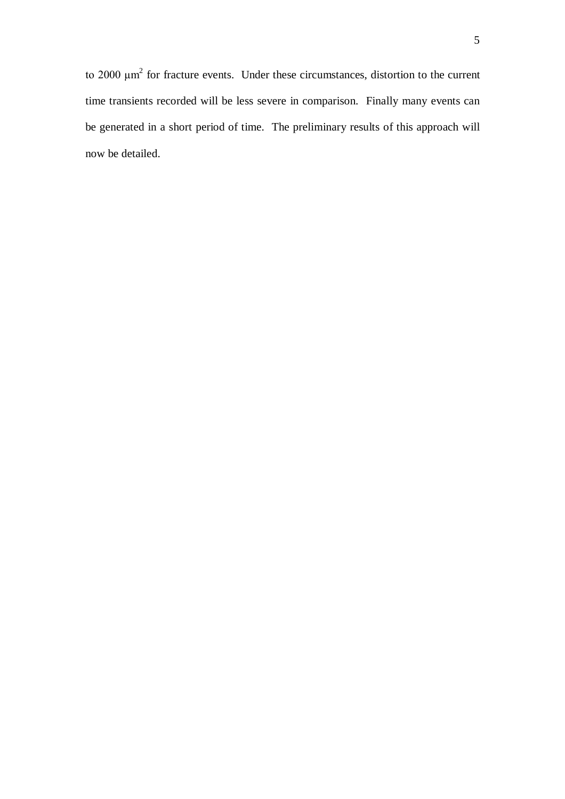to 2000  $\mu$ m<sup>2</sup> for fracture events. Under these circumstances, distortion to the current time transients recorded will be less severe in comparison. Finally many events can be generated in a short period of time. The preliminary results of this approach will now be detailed.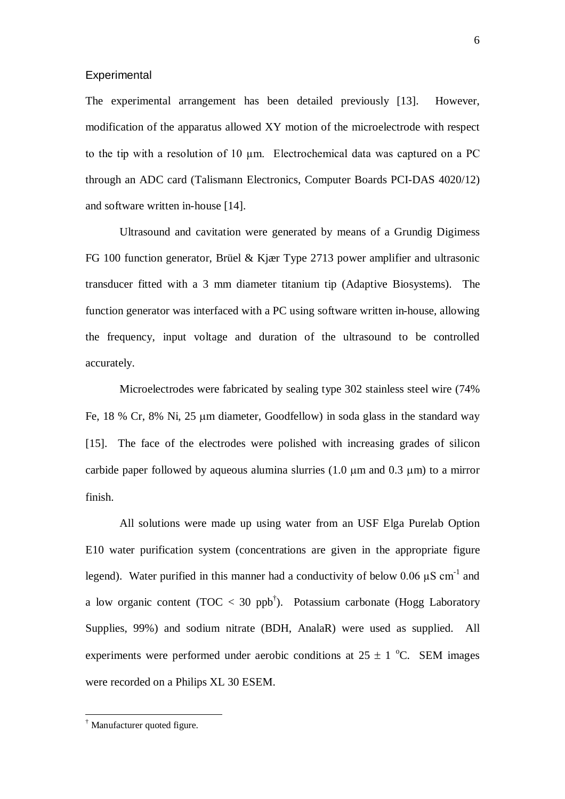#### **Experimental**

The experimental arrangement has been detailed previously [13]. However, modification of the apparatus allowed XY motion of the microelectrode with respect to the tip with a resolution of 10 µm. Electrochemical data was captured on a PC through an ADC card (Talismann Electronics, Computer Boards PCI-DAS 4020/12) and software written in-house [14].

Ultrasound and cavitation were generated by means of a Grundig Digimess FG 100 function generator, Brüel & Kjær Type 2713 power amplifier and ultrasonic transducer fitted with a 3 mm diameter titanium tip (Adaptive Biosystems). The function generator was interfaced with a PC using software written in-house, allowing the frequency, input voltage and duration of the ultrasound to be controlled accurately.

Microelectrodes were fabricated by sealing type 302 stainless steel wire (74% Fe, 18 % Cr, 8% Ni, 25 µm diameter, Goodfellow) in soda glass in the standard way [15]. The face of the electrodes were polished with increasing grades of silicon carbide paper followed by aqueous alumina slurries  $(1.0 \mu m)$  and  $(0.3 \mu m)$  to a mirror finish.

All solutions were made up using water from an USF Elga Purelab Option E10 water purification system (concentrations are given in the appropriate figure legend). Water purified in this manner had a conductivity of below 0.06  $\mu$ S cm<sup>-1</sup> and a low organic content (TOC  $<$  30 ppb<sup>†</sup>). Potassium carbonate (Hogg Laboratory Supplies, 99%) and sodium nitrate (BDH, AnalaR) were used as supplied. All experiments were performed under aerobic conditions at  $25 \pm 1$  °C. SEM images were recorded on a Philips XL 30 ESEM.

 $\overline{a}$ 

<sup>†</sup> Manufacturer quoted figure.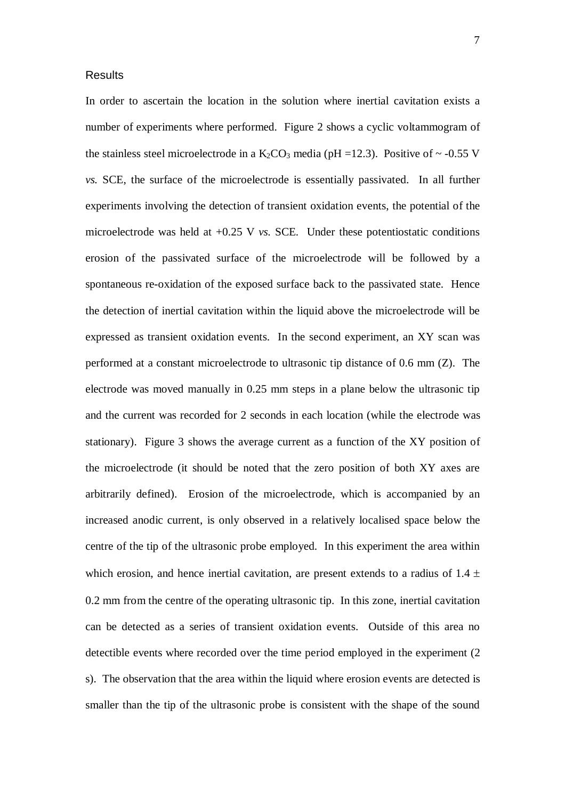#### Results

In order to ascertain the location in the solution where inertial cavitation exists a number of experiments where performed. Figure 2 shows a cyclic voltammogram of the stainless steel microelectrode in a  $K_2CO_3$  media (pH =12.3). Positive of ~ -0.55 V *vs.* SCE, the surface of the microelectrode is essentially passivated. In all further experiments involving the detection of transient oxidation events, the potential of the microelectrode was held at +0.25 V *vs.* SCE. Under these potentiostatic conditions erosion of the passivated surface of the microelectrode will be followed by a spontaneous re-oxidation of the exposed surface back to the passivated state. Hence the detection of inertial cavitation within the liquid above the microelectrode will be expressed as transient oxidation events. In the second experiment, an XY scan was performed at a constant microelectrode to ultrasonic tip distance of 0.6 mm (Z). The electrode was moved manually in 0.25 mm steps in a plane below the ultrasonic tip and the current was recorded for 2 seconds in each location (while the electrode was stationary). Figure 3 shows the average current as a function of the XY position of the microelectrode (it should be noted that the zero position of both XY axes are arbitrarily defined). Erosion of the microelectrode, which is accompanied by an increased anodic current, is only observed in a relatively localised space below the centre of the tip of the ultrasonic probe employed. In this experiment the area within which erosion, and hence inertial cavitation, are present extends to a radius of  $1.4 \pm$ 0.2 mm from the centre of the operating ultrasonic tip. In this zone, inertial cavitation can be detected as a series of transient oxidation events. Outside of this area no detectible events where recorded over the time period employed in the experiment (2 s). The observation that the area within the liquid where erosion events are detected is smaller than the tip of the ultrasonic probe is consistent with the shape of the sound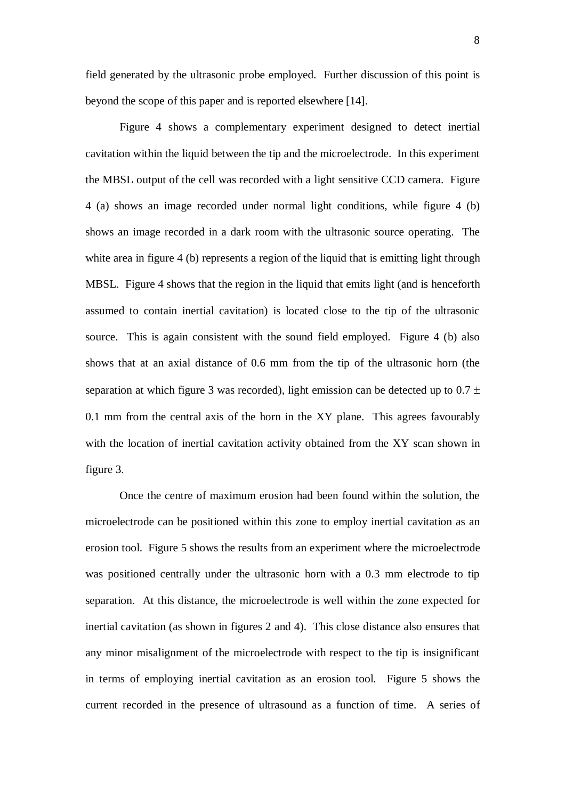field generated by the ultrasonic probe employed. Further discussion of this point is beyond the scope of this paper and is reported elsewhere [14].

Figure 4 shows a complementary experiment designed to detect inertial cavitation within the liquid between the tip and the microelectrode. In this experiment the MBSL output of the cell was recorded with a light sensitive CCD camera. Figure 4 (a) shows an image recorded under normal light conditions, while figure 4 (b) shows an image recorded in a dark room with the ultrasonic source operating. The white area in figure 4 (b) represents a region of the liquid that is emitting light through MBSL. Figure 4 shows that the region in the liquid that emits light (and is henceforth assumed to contain inertial cavitation) is located close to the tip of the ultrasonic source. This is again consistent with the sound field employed. Figure 4 (b) also shows that at an axial distance of 0.6 mm from the tip of the ultrasonic horn (the separation at which figure 3 was recorded), light emission can be detected up to  $0.7 \pm$ 0.1 mm from the central axis of the horn in the XY plane. This agrees favourably with the location of inertial cavitation activity obtained from the XY scan shown in figure 3.

Once the centre of maximum erosion had been found within the solution, the microelectrode can be positioned within this zone to employ inertial cavitation as an erosion tool. Figure 5 shows the results from an experiment where the microelectrode was positioned centrally under the ultrasonic horn with a 0.3 mm electrode to tip separation. At this distance, the microelectrode is well within the zone expected for inertial cavitation (as shown in figures 2 and 4). This close distance also ensures that any minor misalignment of the microelectrode with respect to the tip is insignificant in terms of employing inertial cavitation as an erosion tool. Figure 5 shows the current recorded in the presence of ultrasound as a function of time. A series of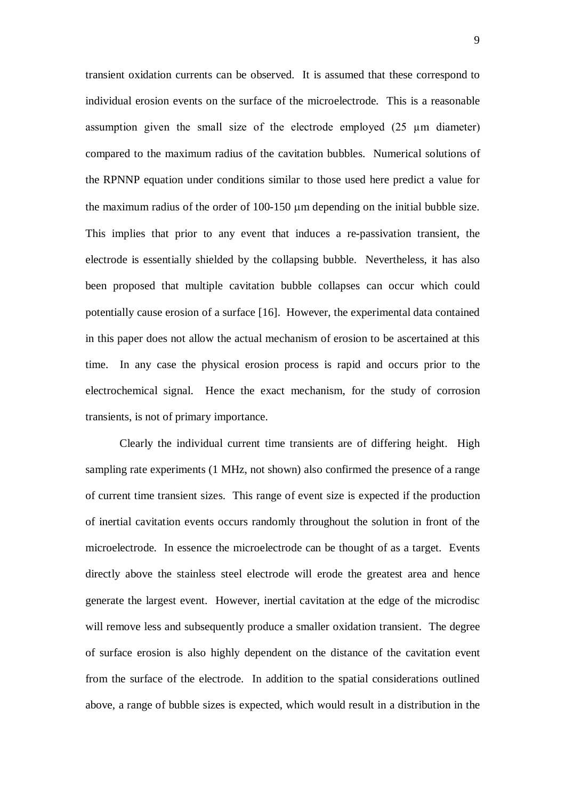transient oxidation currents can be observed. It is assumed that these correspond to individual erosion events on the surface of the microelectrode. This is a reasonable assumption given the small size of the electrode employed (25 µm diameter) compared to the maximum radius of the cavitation bubbles. Numerical solutions of the RPNNP equation under conditions similar to those used here predict a value for the maximum radius of the order of  $100-150 \mu m$  depending on the initial bubble size. This implies that prior to any event that induces a re-passivation transient, the electrode is essentially shielded by the collapsing bubble. Nevertheless, it has also been proposed that multiple cavitation bubble collapses can occur which could potentially cause erosion of a surface [16]. However, the experimental data contained in this paper does not allow the actual mechanism of erosion to be ascertained at this time. In any case the physical erosion process is rapid and occurs prior to the electrochemical signal. Hence the exact mechanism, for the study of corrosion transients, is not of primary importance.

Clearly the individual current time transients are of differing height. High sampling rate experiments (1 MHz, not shown) also confirmed the presence of a range of current time transient sizes. This range of event size is expected if the production of inertial cavitation events occurs randomly throughout the solution in front of the microelectrode. In essence the microelectrode can be thought of as a target. Events directly above the stainless steel electrode will erode the greatest area and hence generate the largest event. However, inertial cavitation at the edge of the microdisc will remove less and subsequently produce a smaller oxidation transient. The degree of surface erosion is also highly dependent on the distance of the cavitation event from the surface of the electrode. In addition to the spatial considerations outlined above, a range of bubble sizes is expected, which would result in a distribution in the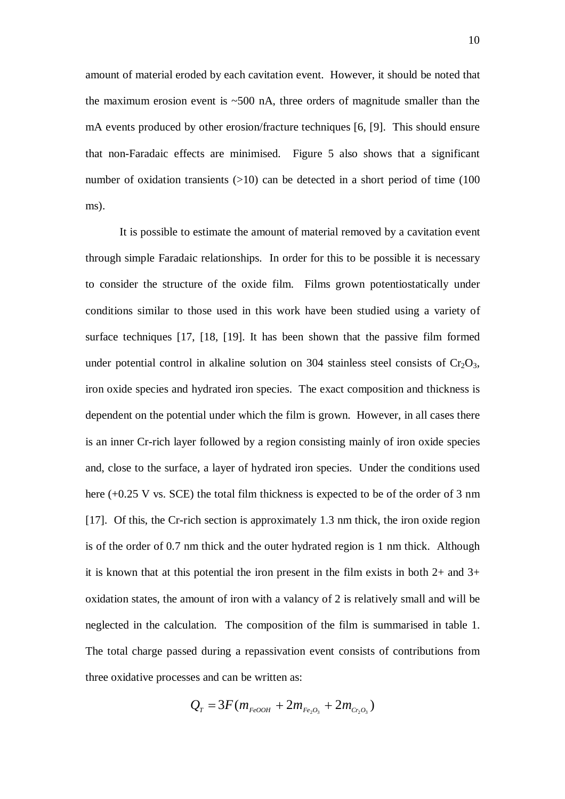amount of material eroded by each cavitation event. However, it should be noted that the maximum erosion event is  $\sim$  500 nA, three orders of magnitude smaller than the mA events produced by other erosion/fracture techniques [6, [9]. This should ensure that non-Faradaic effects are minimised. Figure 5 also shows that a significant number of oxidation transients  $(>10)$  can be detected in a short period of time (100) ms).

It is possible to estimate the amount of material removed by a cavitation event through simple Faradaic relationships. In order for this to be possible it is necessary to consider the structure of the oxide film. Films grown potentiostatically under conditions similar to those used in this work have been studied using a variety of surface techniques [17, [18, [19]. It has been shown that the passive film formed under potential control in alkaline solution on 304 stainless steel consists of  $Cr_2O_3$ , iron oxide species and hydrated iron species. The exact composition and thickness is dependent on the potential under which the film is grown. However, in all cases there is an inner Cr-rich layer followed by a region consisting mainly of iron oxide species and, close to the surface, a layer of hydrated iron species. Under the conditions used here (+0.25 V vs. SCE) the total film thickness is expected to be of the order of 3 nm [17]. Of this, the Cr-rich section is approximately 1.3 nm thick, the iron oxide region is of the order of 0.7 nm thick and the outer hydrated region is 1 nm thick. Although it is known that at this potential the iron present in the film exists in both  $2+$  and  $3+$ oxidation states, the amount of iron with a valancy of 2 is relatively small and will be neglected in the calculation. The composition of the film is summarised in table 1. The total charge passed during a repassivation event consists of contributions from three oxidative processes and can be written as:

$$
Q_{T} = 3F(m_{FeOOH} + 2m_{Fe_{2}O_{3}} + 2m_{C_{2}O_{3}})
$$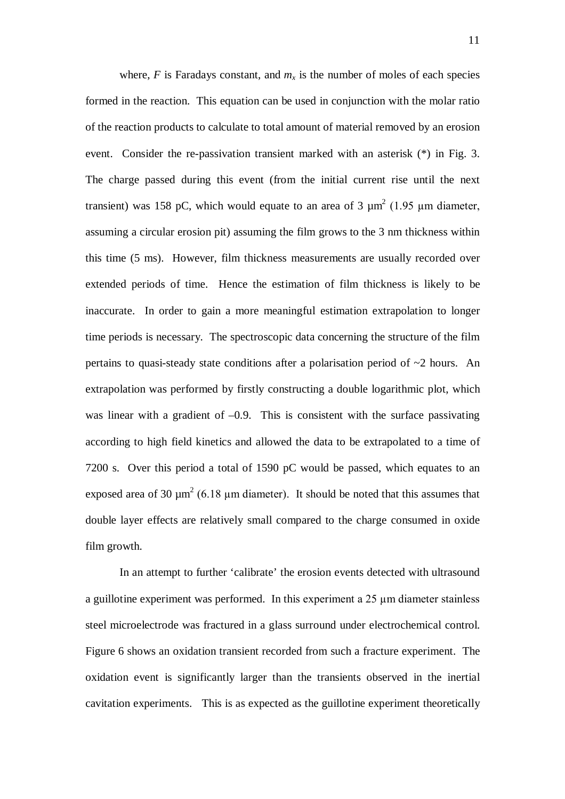where,  $F$  is Faradays constant, and  $m<sub>x</sub>$  is the number of moles of each species formed in the reaction. This equation can be used in conjunction with the molar ratio of the reaction products to calculate to total amount of material removed by an erosion event. Consider the re-passivation transient marked with an asterisk (\*) in Fig. 3. The charge passed during this event (from the initial current rise until the next transient) was 158 pC, which would equate to an area of 3  $\mu$ m<sup>2</sup> (1.95  $\mu$ m diameter, assuming a circular erosion pit) assuming the film grows to the 3 nm thickness within this time (5 ms). However, film thickness measurements are usually recorded over extended periods of time. Hence the estimation of film thickness is likely to be inaccurate. In order to gain a more meaningful estimation extrapolation to longer time periods is necessary. The spectroscopic data concerning the structure of the film pertains to quasi-steady state conditions after a polarisation period of ~2 hours. An extrapolation was performed by firstly constructing a double logarithmic plot, which was linear with a gradient of  $-0.9$ . This is consistent with the surface passivating according to high field kinetics and allowed the data to be extrapolated to a time of 7200 s. Over this period a total of 1590 pC would be passed, which equates to an exposed area of 30  $\mu$ m<sup>2</sup> (6.18  $\mu$ m diameter). It should be noted that this assumes that double layer effects are relatively small compared to the charge consumed in oxide film growth.

In an attempt to further 'calibrate' the erosion events detected with ultrasound a guillotine experiment was performed. In this experiment a 25 µm diameter stainless steel microelectrode was fractured in a glass surround under electrochemical control. Figure 6 shows an oxidation transient recorded from such a fracture experiment. The oxidation event is significantly larger than the transients observed in the inertial cavitation experiments. This is as expected as the guillotine experiment theoretically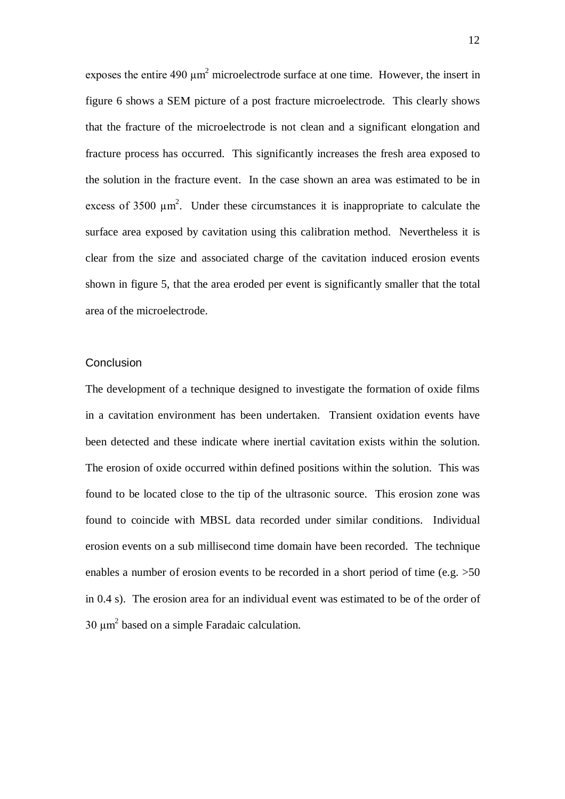exposes the entire 490  $\mu$ m<sup>2</sup> microelectrode surface at one time. However, the insert in figure 6 shows a SEM picture of a post fracture microelectrode. This clearly shows that the fracture of the microelectrode is not clean and a significant elongation and fracture process has occurred. This significantly increases the fresh area exposed to the solution in the fracture event. In the case shown an area was estimated to be in excess of 3500  $\mu$ m<sup>2</sup>. Under these circumstances it is inappropriate to calculate the surface area exposed by cavitation using this calibration method. Nevertheless it is clear from the size and associated charge of the cavitation induced erosion events shown in figure 5, that the area eroded per event is significantly smaller that the total area of the microelectrode.

#### **Conclusion**

The development of a technique designed to investigate the formation of oxide films in a cavitation environment has been undertaken. Transient oxidation events have been detected and these indicate where inertial cavitation exists within the solution. The erosion of oxide occurred within defined positions within the solution. This was found to be located close to the tip of the ultrasonic source. This erosion zone was found to coincide with MBSL data recorded under similar conditions. Individual erosion events on a sub millisecond time domain have been recorded. The technique enables a number of erosion events to be recorded in a short period of time (e.g. >50 in 0.4 s). The erosion area for an individual event was estimated to be of the order of 30  $\mu$ m<sup>2</sup> based on a simple Faradaic calculation.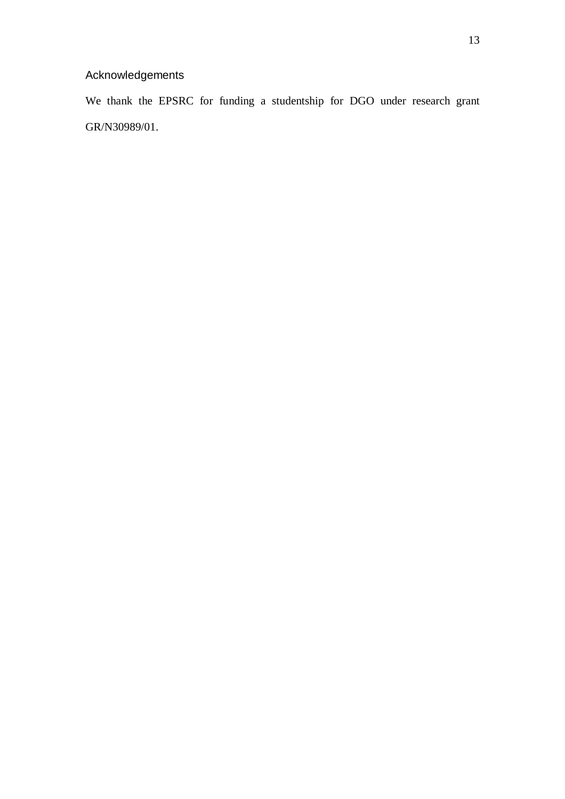# Acknowledgements

We thank the EPSRC for funding a studentship for DGO under research grant GR/N30989/01.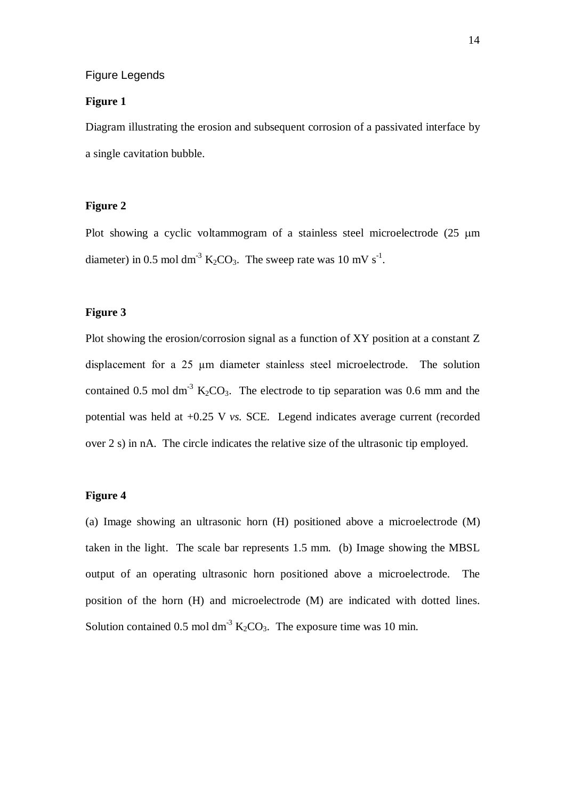#### Figure Legends

#### **Figure 1**

Diagram illustrating the erosion and subsequent corrosion of a passivated interface by a single cavitation bubble.

# **Figure 2**

Plot showing a cyclic voltammogram of a stainless steel microelectrode  $(25 \mu m)$ diameter) in 0.5 mol dm<sup>-3</sup> K<sub>2</sub>CO<sub>3</sub>. The sweep rate was 10 mV s<sup>-1</sup>.

# **Figure 3**

Plot showing the erosion/corrosion signal as a function of XY position at a constant Z displacement for a 25 µm diameter stainless steel microelectrode. The solution contained 0.5 mol dm<sup>-3</sup>  $K_2CO_3$ . The electrode to tip separation was 0.6 mm and the potential was held at +0.25 V *vs.* SCE. Legend indicates average current (recorded over 2 s) in nA. The circle indicates the relative size of the ultrasonic tip employed.

# **Figure 4**

(a) Image showing an ultrasonic horn (H) positioned above a microelectrode (M) taken in the light. The scale bar represents 1.5 mm. (b) Image showing the MBSL output of an operating ultrasonic horn positioned above a microelectrode. The position of the horn (H) and microelectrode (M) are indicated with dotted lines. Solution contained 0.5 mol dm<sup>-3</sup>  $K_2CO_3$ . The exposure time was 10 min.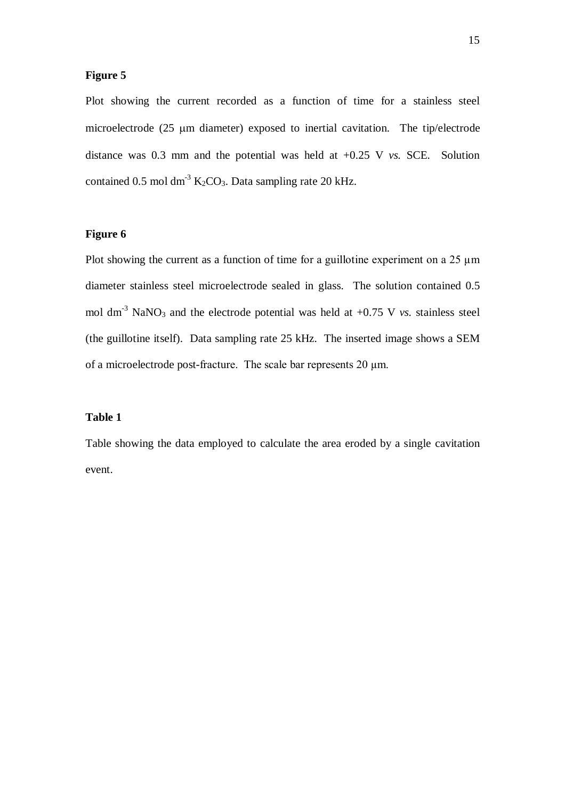# **Figure 5**

Plot showing the current recorded as a function of time for a stainless steel microelectrode (25 µm diameter) exposed to inertial cavitation. The tip/electrode distance was 0.3 mm and the potential was held at +0.25 V *vs.* SCE. Solution contained 0.5 mol dm<sup>-3</sup>  $K_2CO_3$ . Data sampling rate 20 kHz.

# **Figure 6**

Plot showing the current as a function of time for a guillotine experiment on a  $25 \mu m$ diameter stainless steel microelectrode sealed in glass. The solution contained 0.5 mol dm<sup>-3</sup> NaNO<sub>3</sub> and the electrode potential was held at  $+0.75$  V *vs.* stainless steel (the guillotine itself). Data sampling rate 25 kHz. The inserted image shows a SEM of a microelectrode post-fracture. The scale bar represents 20  $\mu$ m.

# **Table 1**

Table showing the data employed to calculate the area eroded by a single cavitation event.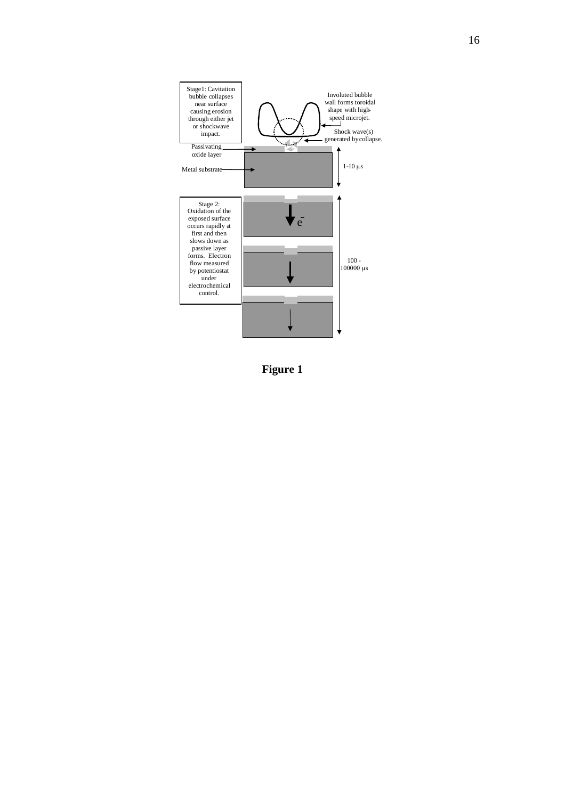

**Figure 1**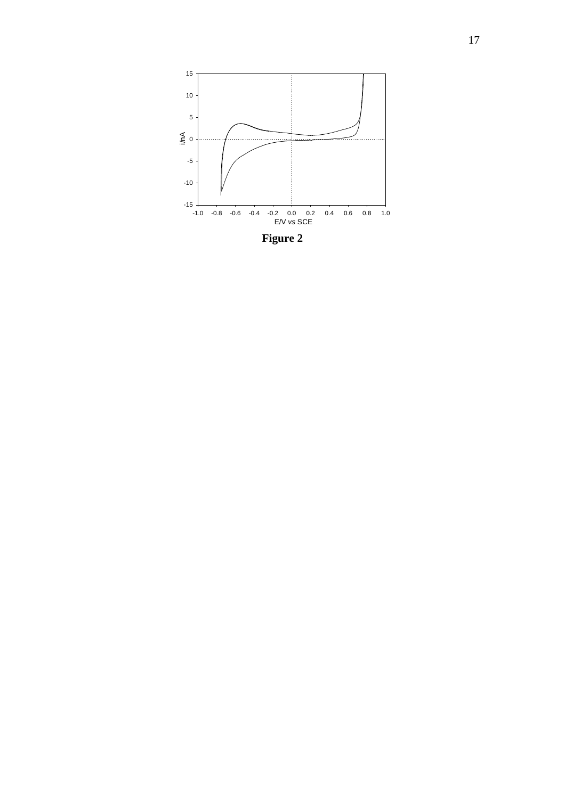

**Figure 2**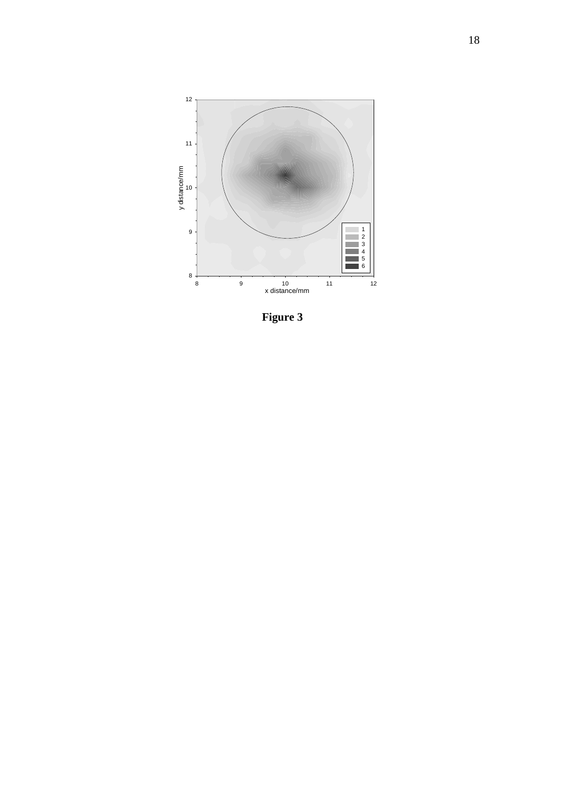

**Figure 3**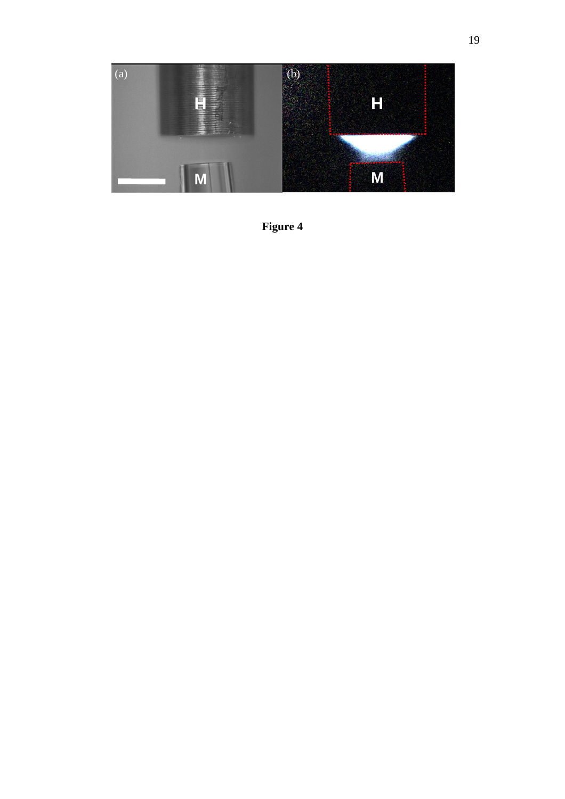

**Figure 4**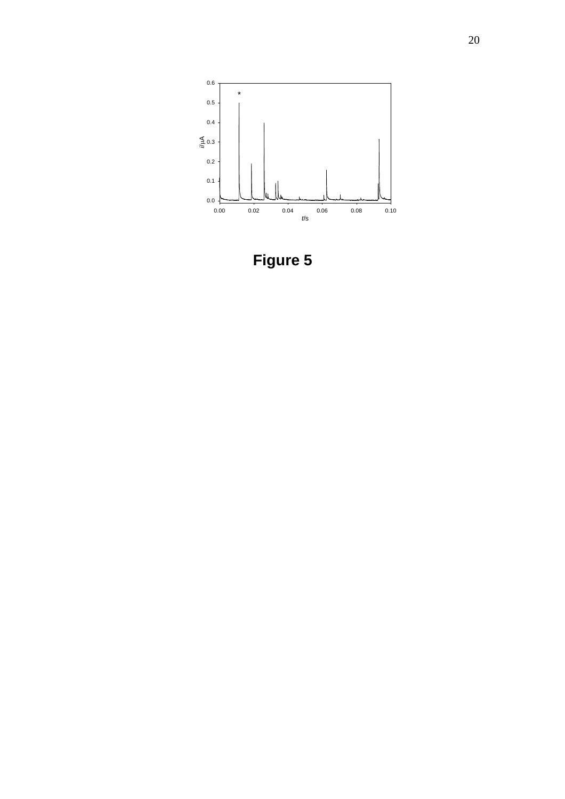

**Figure 5**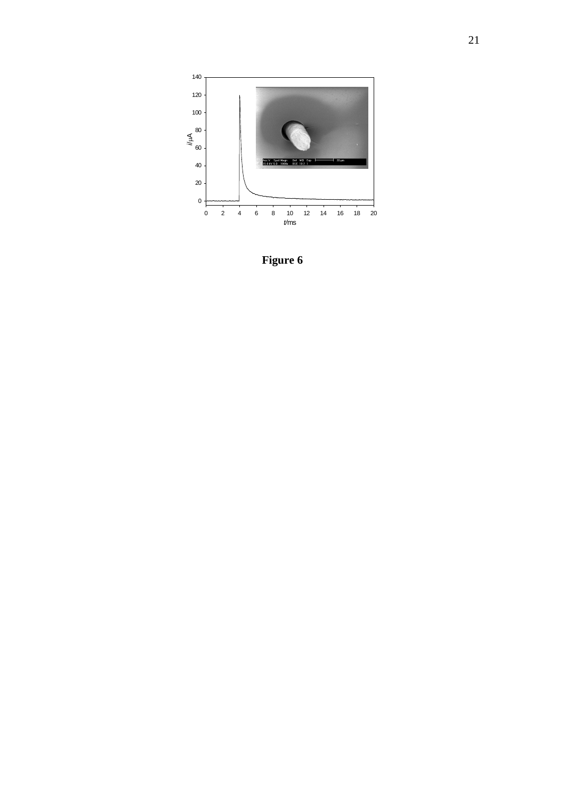

**Figure 6**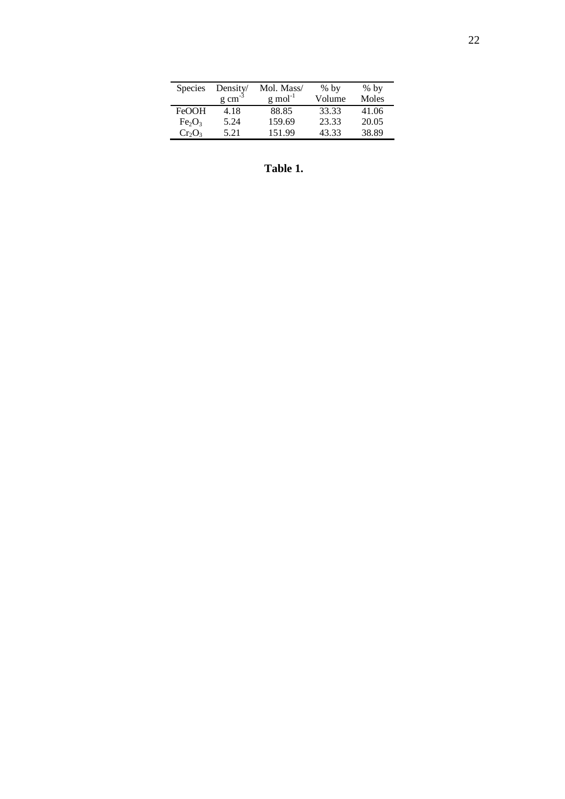| <b>Species</b>                 | Density/            | Mol. Mass/            | $%$ by | $%$ by |
|--------------------------------|---------------------|-----------------------|--------|--------|
|                                | $g \text{ cm}^{-3}$ | $g$ mol <sup>-1</sup> | Volume | Moles  |
| <b>FeOOH</b>                   | 4.18                | 88.85                 | 33.33  | 41.06  |
| Fe <sub>2</sub> O <sub>3</sub> | 5.24                | 159.69                | 23.33  | 20.05  |
| $Cr_2O_3$                      | 5.21                | 151.99                | 43.33  | 38.89  |

**Table 1.**